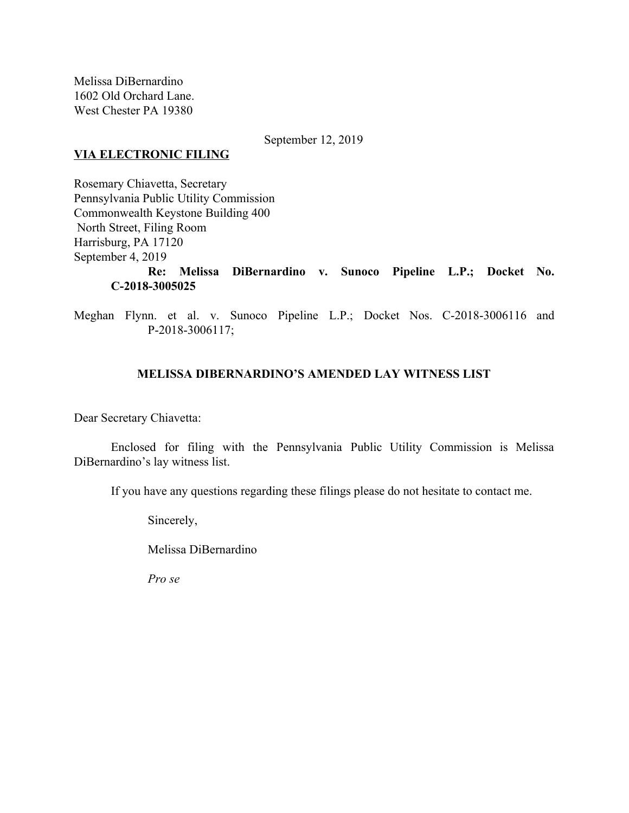Melissa DiBernardino 1602 Old Orchard Lane. West Chester PA 19380

September 12, 2019

### **VIA ELECTRONIC FILING**

Rosemary Chiavetta, Secretary Pennsylvania Public Utility Commission Commonwealth Keystone Building 400 North Street, Filing Room Harrisburg, PA 17120 September 4, 2019 **Re: Melissa DiBernardino v. Sunoco Pipeline L.P.; Docket No. C-2018-3005025**

Meghan Flynn. et al. v. Sunoco Pipeline L.P.; Docket Nos. C-2018-3006116 and P-2018-3006117;

# **MELISSA DIBERNARDINO'S AMENDED LAY WITNESS LIST**

Dear Secretary Chiavetta:

Enclosed for filing with the Pennsylvania Public Utility Commission is Melissa DiBernardino's lay witness list.

If you have any questions regarding these filings please do not hesitate to contact me.

Sincerely,

Melissa DiBernardino

*Pro se*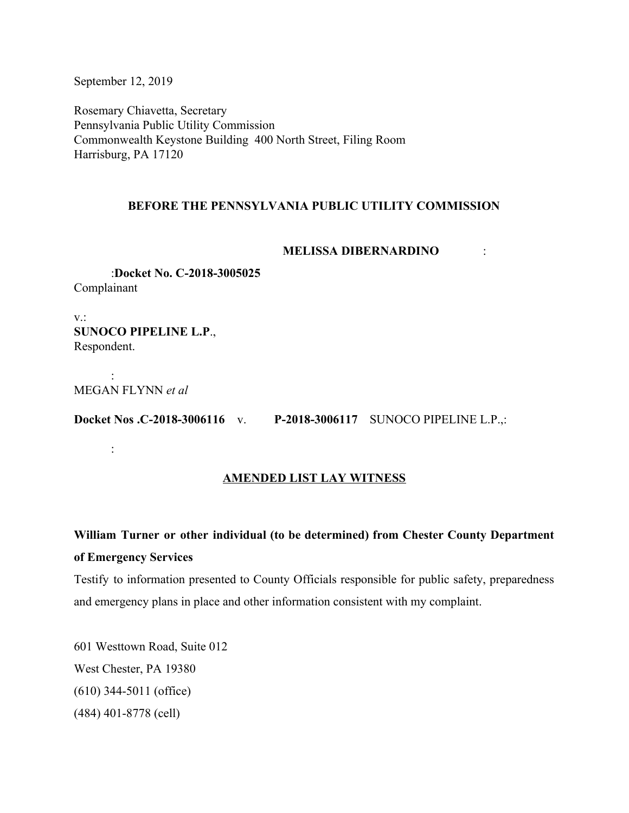September 12, 2019

Rosemary Chiavetta, Secretary Pennsylvania Public Utility Commission Commonwealth Keystone Building 400 North Street, Filing Room Harrisburg, PA 17120

# **BEFORE THE PENNSYLVANIA PUBLIC UTILITY COMMISSION**

#### **MELISSA DIBERNARDINO** :

:**Docket No. C-2018-3005025** Complainant

v.: **SUNOCO PIPELINE L.P**., Respondent.

: MEGAN FLYNN *et al*

:

**Docket Nos .C-2018-3006116** v. **P-2018-3006117** SUNOCO PIPELINE L.P.,:

# **AMENDED LIST LAY WITNESS**

# **William Turner or other individual (to be determined) from Chester County Department of Emergency Services**

Testify to information presented to County Officials responsible for public safety, preparedness and emergency plans in place and other information consistent with my complaint.

601 Westtown Road, Suite 012 West Chester, PA 19380 (610) 344-5011 (office) (484) 401-8778 (cell)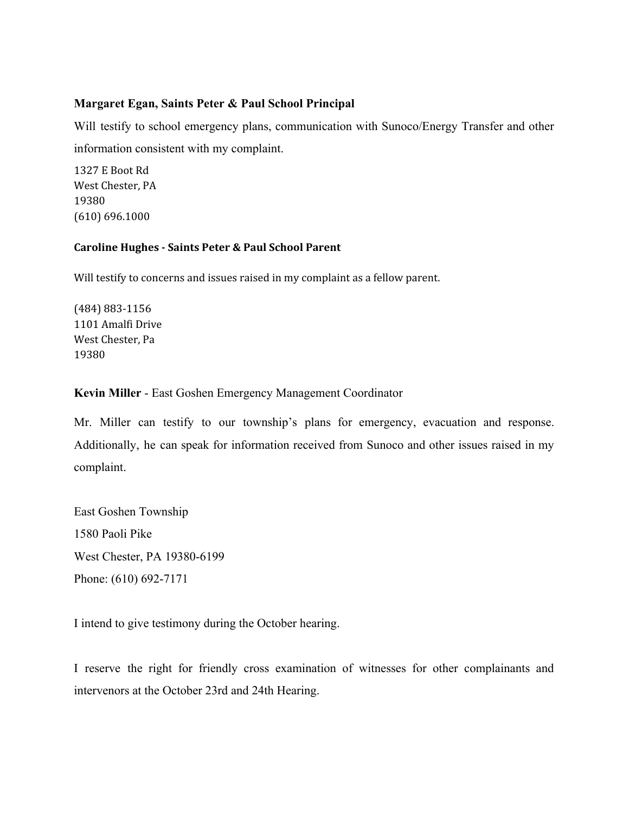## **Margaret Egan, Saints Peter & Paul School Principal**

Will testify to school emergency plans, communication with Sunoco/Energy Transfer and other information consistent with my complaint.

1327 E Boot Rd West Chester, PA 19380 (610) 696.1000

#### **Caroline Hughes - Saints Peter & Paul School Parent**

Will testify to concerns and issues raised in my complaint as a fellow parent.

(484) 883-1156 1101 Amalfi Drive West Chester, Pa 19380

#### **Kevin Miller** - East Goshen Emergency Management Coordinator

Mr. Miller can testify to our township's plans for emergency, evacuation and response. Additionally, he can speak for information received from Sunoco and other issues raised in my complaint.

East Goshen Township 1580 Paoli Pike West Chester, PA 19380-6199 Phone: (610) 692-7171

I intend to give testimony during the October hearing.

I reserve the right for friendly cross examination of witnesses for other complainants and intervenors at the October 23rd and 24th Hearing.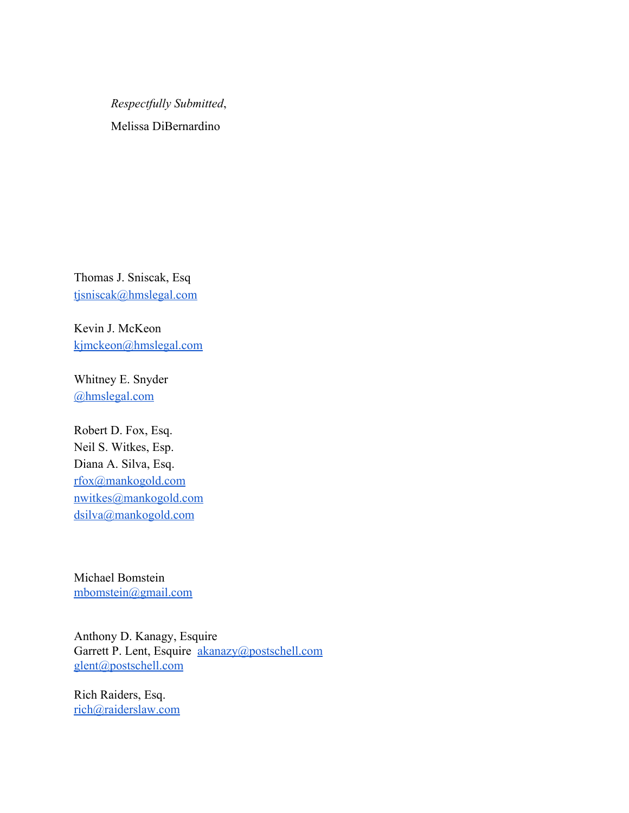*Respectfully Submitted*, Melissa DiBernardino

Thomas J. Sniscak, Esq [tjsniscak@hmslegal.com](mailto:tjsniscak@hmslegal.com)

Kevin J. McKeon [kjmckeon@hmslegal.com](mailto:kjmckeon@hmslegal.com)

Whitney E. Snyder [@hmslegal.com](mailto:wesnyder@hmslegal.com)

Robert D. Fox, Esq. Neil S. Witkes, Esp. Diana A. Silva, Esq. [rfox@mankogold.com](mailto:rfox@mankogold.com) [nwitkes@mankogold.com](mailto:nwitkes@mankogold.com) [dsilva@mankogold.com](mailto:dsilva@mankogold.com)

Michael Bomstein [mbomstein@gmail.com](mailto:mbomstein@gmail.com)

Anthony D. Kanagy, Esquire Garrett P. Lent, Esquire [akanazy@postschell.com](mailto:akanazy@postschell.com) [glent@postschell.com](mailto:glent@postschell.com)

Rich Raiders, Esq. [rich@raiderslaw.com](mailto:rich@raiderslaw.com)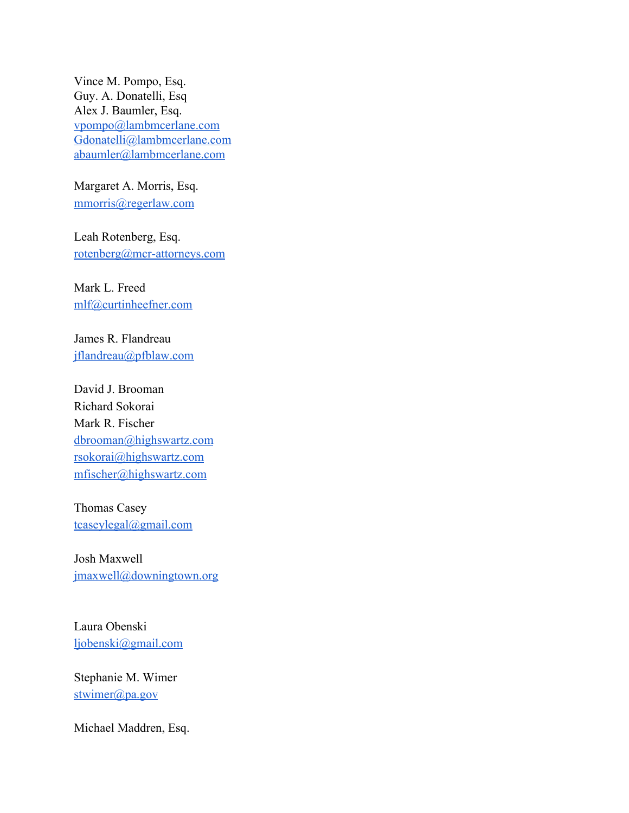Vince M. Pompo, Esq. Guy. A. Donatelli, Esq Alex J. Baumler, Esq. [vpompo@lambmcerlane.com](mailto:vpompo@lambmcerlane.com) [Gdonatelli@lambmcerlane.com](mailto:Gdonatelli@lambmcerlane.com) [abaumler@lambmcerlane.com](mailto:abaumler@lambmcerlane.com)

Margaret A. Morris, Esq. [mmorris@regerlaw.com](mailto:mmorris@regerlaw.com)

Leah Rotenberg, Esq. [rotenberg@mcr-attorneys.com](mailto:rotenberg@mcr-attorneys.com)

Mark L. Freed [mlf@curtinheefner.com](mailto:mlf@curtinheefner.com)

James R. Flandreau [jflandreau@pfblaw.com](mailto:jflandreau@pfblaw.com)

David J. Brooman Richard Sokorai Mark R. Fischer [dbrooman@highswartz.com](mailto:dbrooman@highswartz.com) [rsokorai@highswartz.com](mailto:rsokorai@highswartz.com) [mfischer@highswartz.com](mailto:mfischer@highswartz.com)

Thomas Casey [tcaseylegal@gmail.com](mailto:tcaseylegal@gmail.com)

Josh Maxwell [jmaxwell@downingtown.org](mailto:jmaxwell@downingtown.org)

Laura Obenski [ljobenski@gmail.com](mailto:ljobenski@gmail.com)

Stephanie M. Wimer [stwimer@pa.gov](mailto:stwimer@pa.gov)

Michael Maddren, Esq.